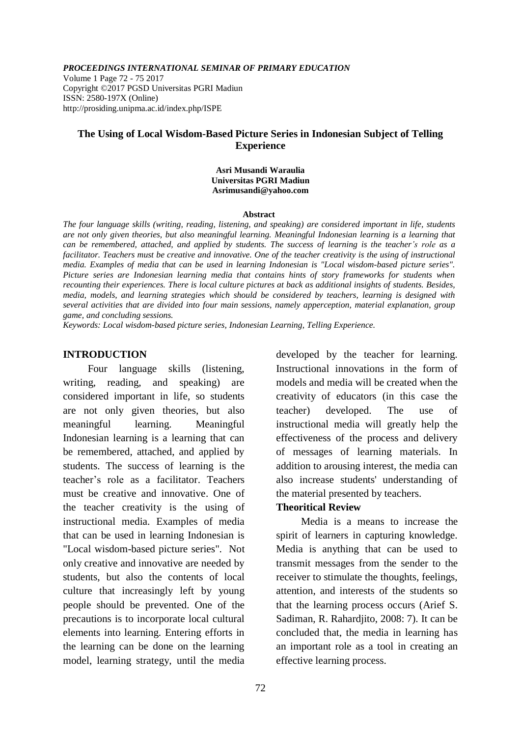*PROCEEDINGS INTERNATIONAL SEMINAR OF PRIMARY EDUCATION*

Volume 1 Page 72 - 75 2017 Copyright ©2017 PGSD Universitas PGRI Madiun ISSN: 2580-197X (Online) http://prosiding.unipma.ac.id/index.php/ISPE

## **The Using of Local Wisdom-Based Picture Series in Indonesian Subject of Telling Experience**

#### **Asri Musandi Waraulia Universitas PGRI Madiun [Asrimusandi@yahoo.com](mailto:Asrimusandi@yahoo.com)**

#### **Abstract**

*The four language skills (writing, reading, listening, and speaking) are considered important in life, students are not only given theories, but also meaningful learning. Meaningful Indonesian learning is a learning that can be remembered, attached, and applied by students. The success of learning is the teacher's role as a facilitator. Teachers must be creative and innovative. One of the teacher creativity is the using of instructional media. Examples of media that can be used in learning Indonesian is "Local wisdom-based picture series". Picture series are Indonesian learning media that contains hints of story frameworks for students when recounting their experiences. There is local culture pictures at back as additional insights of students. Besides, media, models, and learning strategies which should be considered by teachers, learning is designed with several activities that are divided into four main sessions, namely apperception, material explanation, group game, and concluding sessions.*

*Keywords: Local wisdom-based picture series, Indonesian Learning, Telling Experience.*

### **INTRODUCTION**

Four language skills (listening, writing, reading, and speaking) are considered important in life, so students are not only given theories, but also meaningful learning. Meaningful Indonesian learning is a learning that can be remembered, attached, and applied by students. The success of learning is the teacher's role as a facilitator. Teachers must be creative and innovative. One of the teacher creativity is the using of instructional media. Examples of media that can be used in learning Indonesian is "Local wisdom-based picture series". Not only creative and innovative are needed by students, but also the contents of local culture that increasingly left by young people should be prevented. One of the precautions is to incorporate local cultural elements into learning. Entering efforts in the learning can be done on the learning model, learning strategy, until the media developed by the teacher for learning. Instructional innovations in the form of models and media will be created when the creativity of educators (in this case the teacher) developed. The use of instructional media will greatly help the effectiveness of the process and delivery of messages of learning materials. In addition to arousing interest, the media can also increase students' understanding of the material presented by teachers.

## **Theoritical Review**

Media is a means to increase the spirit of learners in capturing knowledge. Media is anything that can be used to transmit messages from the sender to the receiver to stimulate the thoughts, feelings, attention, and interests of the students so that the learning process occurs (Arief S. Sadiman, R. Rahardjito, 2008: 7). It can be concluded that, the media in learning has an important role as a tool in creating an effective learning process.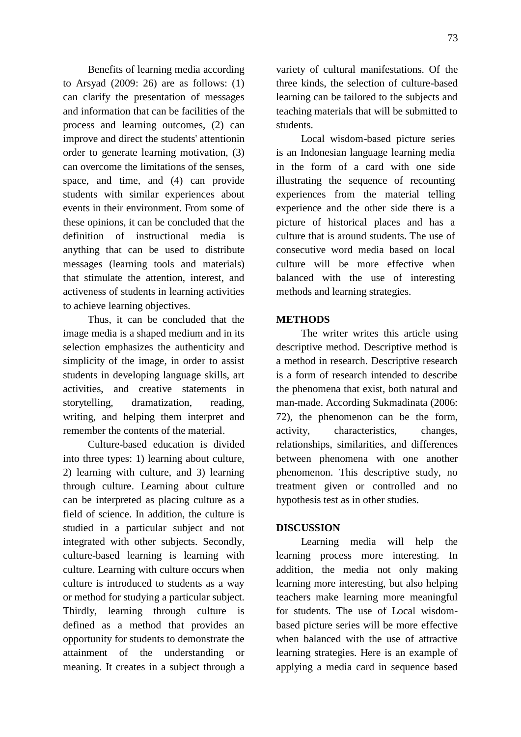Benefits of learning media according to Arsyad (2009: 26) are as follows: (1) can clarify the presentation of messages and information that can be facilities of the process and learning outcomes, (2) can improve and direct the students' attentionin order to generate learning motivation, (3) can overcome the limitations of the senses, space, and time, and (4) can provide students with similar experiences about events in their environment. From some of these opinions, it can be concluded that the definition of instructional media is anything that can be used to distribute messages (learning tools and materials) that stimulate the attention, interest, and activeness of students in learning activities to achieve learning objectives.

Thus, it can be concluded that the image media is a shaped medium and in its selection emphasizes the authenticity and simplicity of the image, in order to assist students in developing language skills, art activities, and creative statements in storytelling, dramatization, reading, writing, and helping them interpret and remember the contents of the material.

Culture-based education is divided into three types: 1) learning about culture, 2) learning with culture, and 3) learning through culture. Learning about culture can be interpreted as placing culture as a field of science. In addition, the culture is studied in a particular subject and not integrated with other subjects. Secondly, culture-based learning is learning with culture. Learning with culture occurs when culture is introduced to students as a way or method for studying a particular subject. Thirdly, learning through culture is defined as a method that provides an opportunity for students to demonstrate the attainment of the understanding or meaning. It creates in a subject through a variety of cultural manifestations. Of the three kinds, the selection of culture-based learning can be tailored to the subjects and teaching materials that will be submitted to students.

Local wisdom-based picture series is an Indonesian language learning media in the form of a card with one side illustrating the sequence of recounting experiences from the material telling experience and the other side there is a picture of historical places and has a culture that is around students. The use of consecutive word media based on local culture will be more effective when balanced with the use of interesting methods and learning strategies.

## **METHODS**

The writer writes this article using descriptive method. Descriptive method is a method in research. Descriptive research is a form of research intended to describe the phenomena that exist, both natural and man-made. According Sukmadinata (2006: 72), the phenomenon can be the form, activity, characteristics, changes, relationships, similarities, and differences between phenomena with one another phenomenon. This descriptive study, no treatment given or controlled and no hypothesis test as in other studies.

### **DISCUSSION**

Learning media will help the learning process more interesting. In addition, the media not only making learning more interesting, but also helping teachers make learning more meaningful for students. The use of Local wisdombased picture series will be more effective when balanced with the use of attractive learning strategies. Here is an example of applying a media card in sequence based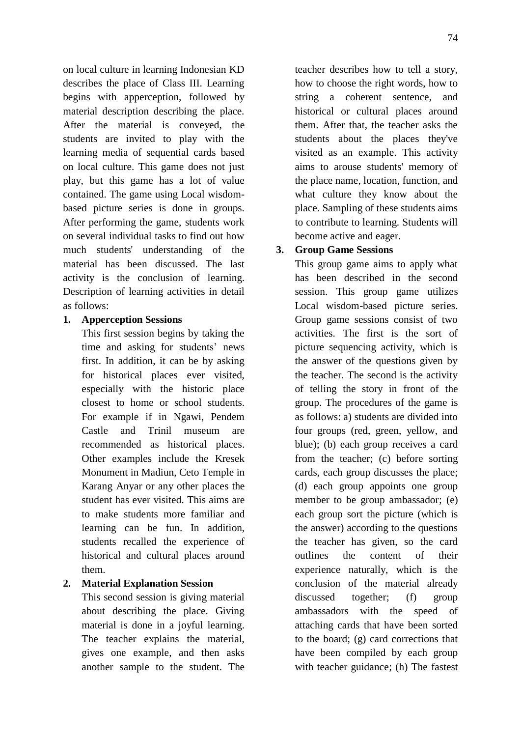on local culture in learning Indonesian KD describes the place of Class III. Learning begins with apperception, followed by material description describing the place. After the material is conveyed, the students are invited to play with the learning media of sequential cards based on local culture. This game does not just play, but this game has a lot of value contained. The game using Local wisdombased picture series is done in groups. After performing the game, students work on several individual tasks to find out how much students' understanding of the material has been discussed. The last activity is the conclusion of learning. Description of learning activities in detail as follows:

## **1. Apperception Sessions**

This first session begins by taking the time and asking for students' news first. In addition, it can be by asking for historical places ever visited, especially with the historic place closest to home or school students. For example if in Ngawi, Pendem Castle and Trinil museum are recommended as historical places. Other examples include the Kresek Monument in Madiun, Ceto Temple in Karang Anyar or any other places the student has ever visited. This aims are to make students more familiar and learning can be fun. In addition, students recalled the experience of historical and cultural places around them.

## **2. Material Explanation Session**

This second session is giving material about describing the place. Giving material is done in a joyful learning. The teacher explains the material, gives one example, and then asks another sample to the student. The

teacher describes how to tell a story, how to choose the right words, how to string a coherent sentence, and historical or cultural places around them. After that, the teacher asks the students about the places they've visited as an example. This activity aims to arouse students' memory of the place name, location, function, and what culture they know about the place. Sampling of these students aims to contribute to learning. Students will become active and eager.

# **3. Group Game Sessions**

This group game aims to apply what has been described in the second session. This group game utilizes Local wisdom-based picture series. Group game sessions consist of two activities. The first is the sort of picture sequencing activity, which is the answer of the questions given by the teacher. The second is the activity of telling the story in front of the group. The procedures of the game is as follows: a) students are divided into four groups (red, green, yellow, and blue); (b) each group receives a card from the teacher; (c) before sorting cards, each group discusses the place; (d) each group appoints one group member to be group ambassador; (e) each group sort the picture (which is the answer) according to the questions the teacher has given, so the card outlines the content of their experience naturally, which is the conclusion of the material already discussed together; (f) group ambassadors with the speed of attaching cards that have been sorted to the board; (g) card corrections that have been compiled by each group with teacher guidance; (h) The fastest